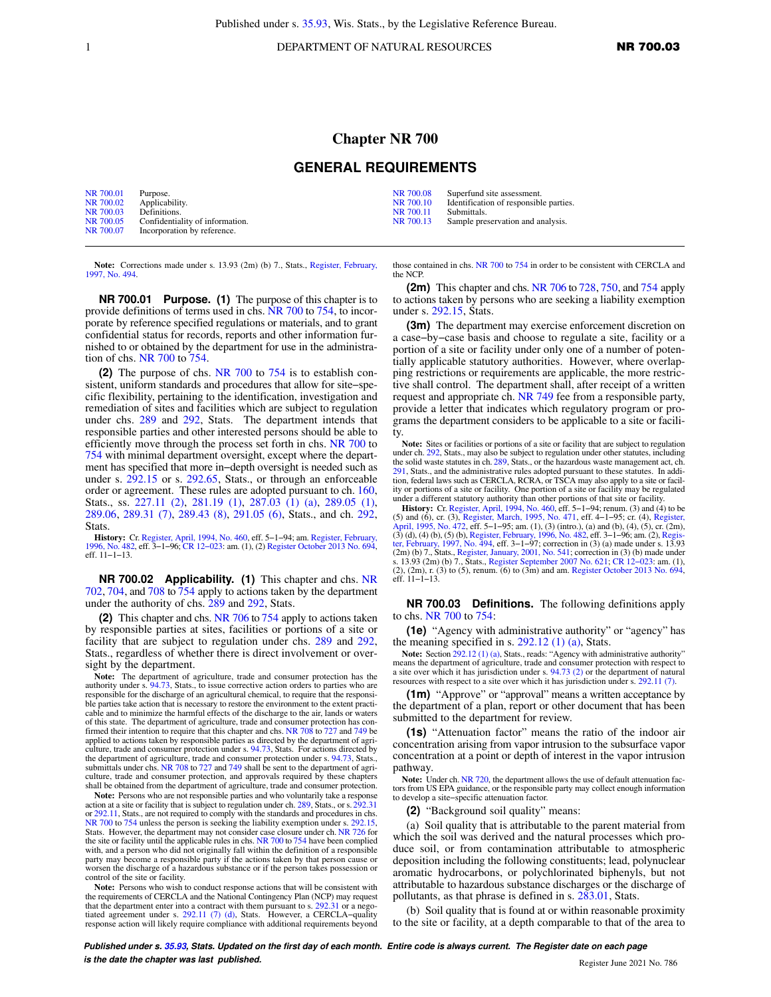1 DEPARTMENT OF NATURAL RESOURCES **NR 700.03** 

## **Chapter NR 700**

## **GENERAL REQUIREMENTS**

| NR 700.01 | Purpose.                        | NR 700.08 | Superfund site assessment.             |
|-----------|---------------------------------|-----------|----------------------------------------|
| NR 700.02 | Applicability.                  | NR 700.10 | Identification of responsible parties. |
| NR 700.03 | Definitions.                    | NR 700.11 | Submittals.                            |
| NR 700.05 | Confidentiality of information. | NR 700.13 | Sample preservation and analysis.      |
| NR 700.07 | Incorporation by reference.     |           |                                        |

**Note:** Corrections made under s. 13.93 (2m) (b) 7., Stats., [Register, February,](https://docs.legis.wisconsin.gov/document/register/494/B/toc) [1997, No. 494.](https://docs.legis.wisconsin.gov/document/register/494/B/toc)

**NR 700.01 Purpose. (1)** The purpose of this chapter is to provide definitions of terms used in chs. [NR 700](https://docs.legis.wisconsin.gov/document/administrativecode/ch.%20NR%20700) to [754](https://docs.legis.wisconsin.gov/document/administrativecode/ch.%20NR%20754), to incorporate by reference specified regulations or materials, and to grant confidential status for records, reports and other information furnished to or obtained by the department for use in the administration of chs. [NR 700](https://docs.legis.wisconsin.gov/document/administrativecode/ch.%20NR%20700) to [754](https://docs.legis.wisconsin.gov/document/administrativecode/ch.%20NR%20754).

**(2)** The purpose of chs. [NR 700](https://docs.legis.wisconsin.gov/document/administrativecode/ch.%20NR%20700) to [754](https://docs.legis.wisconsin.gov/document/administrativecode/ch.%20NR%20754) is to establish consistent, uniform standards and procedures that allow for site−specific flexibility, pertaining to the identification, investigation and remediation of sites and facilities which are subject to regulation under chs. [289](https://docs.legis.wisconsin.gov/document/statutes/ch.%20289) and [292](https://docs.legis.wisconsin.gov/document/statutes/ch.%20292), Stats. The department intends that responsible parties and other interested persons should be able to efficiently move through the process set forth in chs. [NR 700](https://docs.legis.wisconsin.gov/document/administrativecode/ch.%20NR%20700) to [754](https://docs.legis.wisconsin.gov/document/administrativecode/ch.%20NR%20754) with minimal department oversight, except where the department has specified that more in−depth oversight is needed such as under s. [292.15](https://docs.legis.wisconsin.gov/document/statutes/292.15) or s. [292.65](https://docs.legis.wisconsin.gov/document/statutes/292.65), Stats., or through an enforceable order or agreement. These rules are adopted pursuant to ch. [160,](https://docs.legis.wisconsin.gov/document/statutes/ch.%20160) Stats., ss. [227.11 \(2\)](https://docs.legis.wisconsin.gov/document/statutes/227.11(2)), [281.19 \(1\)](https://docs.legis.wisconsin.gov/document/statutes/281.19(1)), [287.03 \(1\) \(a\),](https://docs.legis.wisconsin.gov/document/statutes/287.03(1)(a)) [289.05 \(1\),](https://docs.legis.wisconsin.gov/document/statutes/289.05(1)) [289.06,](https://docs.legis.wisconsin.gov/document/statutes/289.06) [289.31 \(7\)](https://docs.legis.wisconsin.gov/document/statutes/289.31(7)), [289.43 \(8\)](https://docs.legis.wisconsin.gov/document/statutes/289.43(8)), [291.05 \(6\),](https://docs.legis.wisconsin.gov/document/statutes/291.05(6)) Stats., and ch. [292,](https://docs.legis.wisconsin.gov/document/statutes/ch.%20292) Stats.

**History:** Cr. [Register, April, 1994, No. 460,](https://docs.legis.wisconsin.gov/document/register/460/B/toc) eff. 5−1−94; am. [Register, February,](https://docs.legis.wisconsin.gov/document/register/482/B/toc) [1996, No. 482](https://docs.legis.wisconsin.gov/document/register/482/B/toc), eff. 3−1−96; [CR 12−023:](https://docs.legis.wisconsin.gov/document/cr/2012/23) am. (1), (2) [Register October 2013 No. 694](https://docs.legis.wisconsin.gov/document/register/694/B/toc), eff. 11−1−13.

**NR 700.02 Applicability. (1)** This chapter and chs. [NR](https://docs.legis.wisconsin.gov/document/administrativecode/ch.%20NR%20702) [702](https://docs.legis.wisconsin.gov/document/administrativecode/ch.%20NR%20702), [704,](https://docs.legis.wisconsin.gov/document/administrativecode/ch.%20NR%20704) and [708](https://docs.legis.wisconsin.gov/document/administrativecode/ch.%20NR%20708) to [754](https://docs.legis.wisconsin.gov/document/administrativecode/ch.%20NR%20754) apply to actions taken by the department under the authority of chs. [289](https://docs.legis.wisconsin.gov/document/statutes/ch.%20289) and [292](https://docs.legis.wisconsin.gov/document/statutes/ch.%20292), Stats.

**(2)** This chapter and chs. [NR 706](https://docs.legis.wisconsin.gov/document/administrativecode/ch.%20NR%20706) to [754](https://docs.legis.wisconsin.gov/document/administrativecode/ch.%20NR%20754) apply to actions taken by responsible parties at sites, facilities or portions of a site or facility that are subject to regulation under chs. [289](https://docs.legis.wisconsin.gov/document/statutes/ch.%20289) and [292,](https://docs.legis.wisconsin.gov/document/statutes/ch.%20292) Stats., regardless of whether there is direct involvement or oversight by the department.

**Note:** The department of agriculture, trade and consumer protection has the authority under s. [94.73](https://docs.legis.wisconsin.gov/document/statutes/94.73), Stats., to issue corrective action orders to parties who are responsible for the discharge of an agricultural chemical, ble parties take action that is necessary to restore the environment to the extent practicable and to minimize the harmful effects of the discharge to the air, lands or waters<br>of this state. The department of agriculture, trade and consumer protection has con-<br>firmed their intention to require that this chapte applied to actions taken by responsible parties as directed by the department of agriculture, trade and consumer protection under s. [94.73](https://docs.legis.wisconsin.gov/document/statutes/94.73), Stats. For actions directed by the department of agriculture, trade and consumer protection under s. [94.73](https://docs.legis.wisconsin.gov/document/statutes/94.73), Stats., submittals under chs. [NR 708](https://docs.legis.wisconsin.gov/document/administrativecode/ch.%20NR%20708) to [727](https://docs.legis.wisconsin.gov/document/administrativecode/ch.%20NR%20727) and [749](https://docs.legis.wisconsin.gov/document/administrativecode/ch.%20NR%20749) shall be sent to the department of agriculture, trade and consumer protection, and approvals required by these chapters shall be obtained from the department of agriculture, trade and consumer protection.

Note: Persons who are not responsible parties and who voluntarily take a response action at a site or facility that is subject to regulation under ch. [289,](https://docs.legis.wisconsin.gov/document/statutes/ch.%20289) Stats., or s. [292.31](https://docs.legis.wisconsin.gov/document/statutes/292.31) or [292.11,](https://docs.legis.wisconsin.gov/document/statutes/292.11) Stats., are not required to comply with the standards and procedures in chs. [NR 700](https://docs.legis.wisconsin.gov/document/administrativecode/ch.%20NR%20700) to [754](https://docs.legis.wisconsin.gov/document/administrativecode/ch.%20NR%20754) unless the person is seeking the liability exemption under s. [292.15](https://docs.legis.wisconsin.gov/document/statutes/292.15), Stats. However, the department may not consider case closure under ch. [NR 726](https://docs.legis.wisconsin.gov/document/administrativecode/ch.%20NR%20726) for the site or facility until the applicable rules in chs. [NR 700](https://docs.legis.wisconsin.gov/document/administrativecode/ch.%20NR%20700) to [754](https://docs.legis.wisconsin.gov/document/administrativecode/ch.%20NR%20754) have been complied with, and a person who did not originally fall within the definition of a responsible party may become a responsible party if the actions taken by that person cause or worsen the discharge of a hazardous substance or if the person takes possession or control of the site or facility.

**Note:** Persons who wish to conduct response actions that will be consistent with the requirements of CERCLA and the National Contingency Plan (NCP) may request that the department enter into a contract with them pursuant to s.  $292.31$  or a negotiated agreement under s.  $292.11$  (7) (d), Stats. However, a CERCLA-quality response action will likely require compliance with additional requirements beyond

those contained in chs. [NR 700](https://docs.legis.wisconsin.gov/document/administrativecode/ch.%20NR%20700) to [754](https://docs.legis.wisconsin.gov/document/administrativecode/ch.%20NR%20754) in order to be consistent with CERCLA and the NCP.

**(2m)** This chapter and chs. [NR 706](https://docs.legis.wisconsin.gov/document/administrativecode/ch.%20NR%20706) to [728](https://docs.legis.wisconsin.gov/document/administrativecode/ch.%20NR%20728), [750,](https://docs.legis.wisconsin.gov/document/administrativecode/ch.%20NR%20750) and [754](https://docs.legis.wisconsin.gov/document/administrativecode/ch.%20NR%20754) apply to actions taken by persons who are seeking a liability exemption under s. [292.15,](https://docs.legis.wisconsin.gov/document/statutes/292.15) Stats.

**(3m)** The department may exercise enforcement discretion on a case−by−case basis and choose to regulate a site, facility or a portion of a site or facility under only one of a number of potentially applicable statutory authorities. However, where overlapping restrictions or requirements are applicable, the more restrictive shall control. The department shall, after receipt of a written request and appropriate ch. [NR 749](https://docs.legis.wisconsin.gov/document/administrativecode/ch.%20NR%20749) fee from a responsible party, provide a letter that indicates which regulatory program or programs the department considers to be applicable to a site or facility.

**Note:** Sites or facilities or portions of a site or facility that are subject to regulation under ch. [292](https://docs.legis.wisconsin.gov/document/statutes/ch.%20292), Stats., may also be subject to regulation under other statutes, including the solid waste statutes in ch. [289,](https://docs.legis.wisconsin.gov/document/statutes/ch.%20289) Stats., or the hazardous waste management act, ch. [291,](https://docs.legis.wisconsin.gov/document/statutes/ch.%20291) Stats., and the administrative rules adopted pursuant to these statutes. In addition, federal laws such as CERCLA, RCRA, or TSCA may also apply to a site or facil-ity or portions of a site or facility. One portion of a site or facility may be regulated under a different statutory authority than other portions of that site or facility.

**History:** Cr. [Register, April, 1994, No. 460](https://docs.legis.wisconsin.gov/document/register/460/B/toc), eff. 5−1−94; renum. (3) and (4) to be (5) and (6), cr. (3), [Register, March, 1995, No. 471,](https://docs.legis.wisconsin.gov/document/register/471/B/toc) eff. 4−1−95; cr. (4), [Register,](https://docs.legis.wisconsin.gov/document/register/472/B/toc) [April, 1995, No. 472](https://docs.legis.wisconsin.gov/document/register/472/B/toc), eff. 5–1–95; am. (1), (3) (intro.), (a) and (b), (4), (5), cr. (2m), (3) (d), (4), (5), (b), [Register, February, 1996, No. 482,](https://docs.legis.wisconsin.gov/document/register/482/B/toc) eff. 3–1–96; am. (2), Regis-<br>[ter, February, 1997, No. 494](https://docs.legis.wisconsin.gov/document/register/494/B/toc), eff. 3–1–97; s. 13.93 (2m) (b) 7., Stats., [Register September 2007 No. 621](https://docs.legis.wisconsin.gov/document/register/621/B/toc); [CR 12−023:](https://docs.legis.wisconsin.gov/document/cr/2012/23) am. (1), (2), (2m), r. (3) to (5), renum. (6) to (3m) and am. [Register October 2013 No. 694](https://docs.legis.wisconsin.gov/document/register/694/B/toc), eff. 11−1−13.

**NR 700.03 Definitions.** The following definitions apply to chs. [NR 700](https://docs.legis.wisconsin.gov/document/administrativecode/ch.%20NR%20700) to [754:](https://docs.legis.wisconsin.gov/document/administrativecode/ch.%20NR%20754)

**(1e)** "Agency with administrative authority" or "agency" has the meaning specified in s.  $292.12$  (1) (a), Stats.

Note: Section [292.12 \(1\) \(a\),](https://docs.legis.wisconsin.gov/document/statutes/292.12(1)(a)) Stats., reads: "Agency with administrative authority" means the department of agriculture, trade and consumer protection with respect to a site over which it has jurisdiction under s. [94.73 \(2\)](https://docs.legis.wisconsin.gov/document/statutes/94.73(2)) or the department of natural resources with respect to a site over which it has jurisdiction under s. [292.11 \(7\)](https://docs.legis.wisconsin.gov/document/statutes/292.11(7)).

**(1m)** "Approve" or "approval" means a written acceptance by the department of a plan, report or other document that has been submitted to the department for review.

**(1s)** "Attenuation factor" means the ratio of the indoor air concentration arising from vapor intrusion to the subsurface vapor concentration at a point or depth of interest in the vapor intrusion pathway.

Note: Under ch. [NR 720](https://docs.legis.wisconsin.gov/document/administrativecode/ch.%20NR%20720), the department allows the use of default attenuation factors from US EPA guidance, or the responsible party may collect enough information to develop a site−specific attenuation factor.

**(2)** "Background soil quality" means:

(a) Soil quality that is attributable to the parent material from which the soil was derived and the natural processes which produce soil, or from contamination attributable to atmospheric deposition including the following constituents; lead, polynuclear aromatic hydrocarbons, or polychlorinated biphenyls, but not attributable to hazardous substance discharges or the discharge of pollutants, as that phrase is defined in s. [283.01,](https://docs.legis.wisconsin.gov/document/statutes/283.01) Stats.

(b) Soil quality that is found at or within reasonable proximity to the site or facility, at a depth comparable to that of the area to

**Published under s. [35.93,](https://docs.legis.wisconsin.gov/document/statutes/35.93) Stats. Updated on the first day of each month. Entire code is always current. The Register date on each page is the date the chapter was last published. is the date the chapter was last published.** Register June 2021 No. 786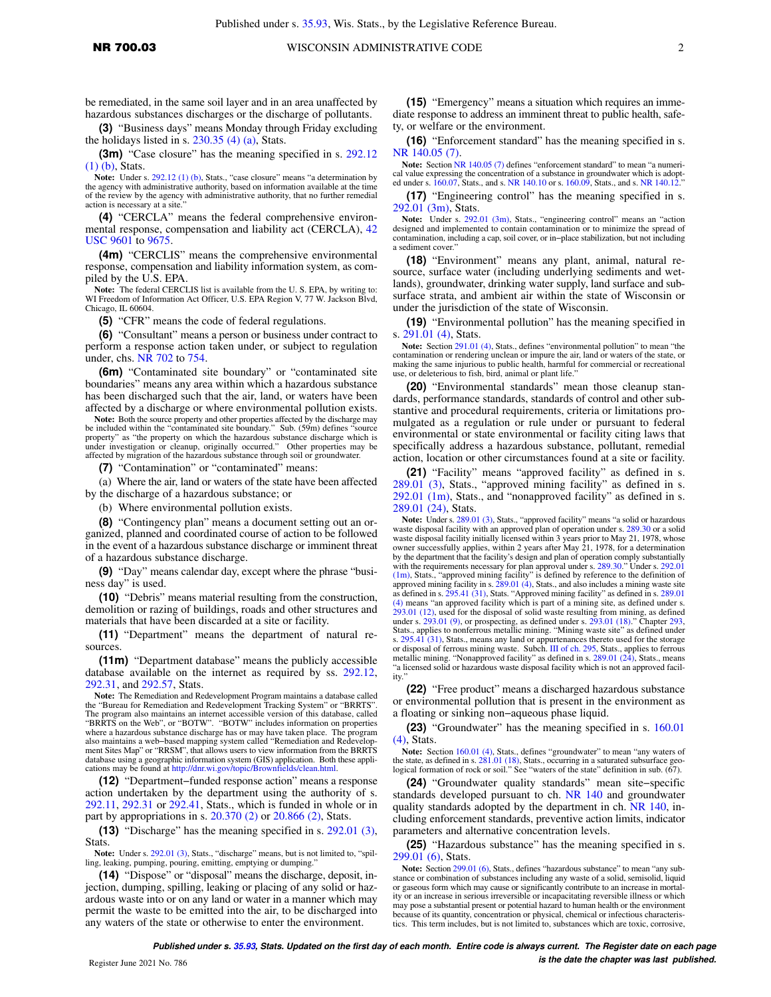be remediated, in the same soil layer and in an area unaffected by hazardous substances discharges or the discharge of pollutants.

**(3)** "Business days" means Monday through Friday excluding the holidays listed in s.  $230.35$  (4) (a), Stats.

**(3m)** "Case closure" has the meaning specified in s. [292.12](https://docs.legis.wisconsin.gov/document/statutes/292.12(1)(b)) [\(1\) \(b\)](https://docs.legis.wisconsin.gov/document/statutes/292.12(1)(b)), Stats.

**Note:** Under s. [292.12 \(1\) \(b\),](https://docs.legis.wisconsin.gov/document/statutes/292.12(1)(b)) Stats., "case closure" means "a determination by the agency with administrative authority, based on information available at the time of the review by the agency with administrative authority, that no further remedial action is necessary at a site."

**(4)** "CERCLA" means the federal comprehensive environmental response, compensation and liability act (CERCLA), [42](https://docs.legis.wisconsin.gov/document/usc/42%20USC%209601) [USC 9601](https://docs.legis.wisconsin.gov/document/usc/42%20USC%209601) to [9675](https://docs.legis.wisconsin.gov/document/usc/42%20USC%209675).

**(4m)** "CERCLIS" means the comprehensive environmental response, compensation and liability information system, as compiled by the U.S. EPA.

**Note:** The federal CERCLIS list is available from the U. S. EPA, by writing to: WI Freedom of Information Act Officer, U.S. EPA Region V, 77 W. Jackson Blvd, Chicago, IL 60604.

**(5)** "CFR" means the code of federal regulations.

**(6)** "Consultant" means a person or business under contract to perform a response action taken under, or subject to regulation under, chs. [NR 702](https://docs.legis.wisconsin.gov/document/administrativecode/ch.%20NR%20702) to [754.](https://docs.legis.wisconsin.gov/document/administrativecode/ch.%20NR%20754)

**(6m)** "Contaminated site boundary" or "contaminated site boundaries" means any area within which a hazardous substance has been discharged such that the air, land, or waters have been affected by a discharge or where environmental pollution exists.

Note: Both the source property and other properties affected by the discharge may be included within the "contaminated site boundary." Sub. (59m) defines "source property" as "the property on which the hazardous substance discharge which is under investigation or cleanup, originally occurred." Other properties may be affected by migration of the hazardous substance through soil or groundwater.

**(7)** "Contamination" or "contaminated" means:

(a) Where the air, land or waters of the state have been affected by the discharge of a hazardous substance; or

(b) Where environmental pollution exists.

**(8)** "Contingency plan" means a document setting out an organized, planned and coordinated course of action to be followed in the event of a hazardous substance discharge or imminent threat of a hazardous substance discharge.

**(9)** "Day" means calendar day, except where the phrase "business day" is used.

**(10)** "Debris" means material resulting from the construction, demolition or razing of buildings, roads and other structures and materials that have been discarded at a site or facility.

**(11)** "Department" means the department of natural resources.

**(11m)** "Department database" means the publicly accessible database available on the internet as required by ss. [292.12,](https://docs.legis.wisconsin.gov/document/statutes/292.12) [292.31,](https://docs.legis.wisconsin.gov/document/statutes/292.31) and [292.57,](https://docs.legis.wisconsin.gov/document/statutes/292.57) Stats.

**Note:** The Remediation and Redevelopment Program maintains a database called the "Bureau for Remediation and Redevelopment Tracking System" or "BRRTS". The program also maintains an internet accessible version of this database, called "BRRTS on the Web", or "BOTW". "BOTW" includes information on properties where a hazardous substance discharge has or may have taken place. The program also maintains a web−based mapping system called "Remediation and Redevelopment Sites Map" or "RRSM", that allows users to view information from the BRRTS database using a geographic information system (GIS) application. Both these appli-cations may be found at [http://dnr.wi.gov/topic/Brownfields/clean.html.](http://dnr.wi.gov/topic/Brownfields/clean.html)

**(12)** "Department−funded response action" means a response action undertaken by the department using the authority of s. [292.11](https://docs.legis.wisconsin.gov/document/statutes/292.11), [292.31](https://docs.legis.wisconsin.gov/document/statutes/292.31) or [292.41](https://docs.legis.wisconsin.gov/document/statutes/292.41), Stats., which is funded in whole or in part by appropriations in s.  $20.370$  (2) or  $20.866$  (2), Stats.

**(13)** "Discharge" has the meaning specified in s. [292.01 \(3\),](https://docs.legis.wisconsin.gov/document/statutes/292.01(3)) Stats.

Note: Under s. [292.01 \(3\),](https://docs.legis.wisconsin.gov/document/statutes/292.01(3)) Stats., "discharge" means, but is not limited to, "spilling, leaking, pumping, pouring, emitting, emptying or dumping.

**(14)** "Dispose" or "disposal" means the discharge, deposit, injection, dumping, spilling, leaking or placing of any solid or hazardous waste into or on any land or water in a manner which may permit the waste to be emitted into the air, to be discharged into any waters of the state or otherwise to enter the environment.

**(15)** "Emergency" means a situation which requires an immediate response to address an imminent threat to public health, safety, or welfare or the environment.

**(16)** "Enforcement standard" has the meaning specified in s. [NR 140.05 \(7\).](https://docs.legis.wisconsin.gov/document/administrativecode/NR%20140.05(7))

**Note:** Section [NR 140.05 \(7\)](https://docs.legis.wisconsin.gov/document/administrativecode/NR%20140.05(7)) defines "enforcement standard" to mean "a numerical value expressing the concentration of a substance in groundwater which is adopt-ed under s. [160.07](https://docs.legis.wisconsin.gov/document/statutes/160.07), Stats., and s. [NR 140.10](https://docs.legis.wisconsin.gov/document/administrativecode/NR%20140.10) or s. [160.09,](https://docs.legis.wisconsin.gov/document/statutes/160.09) Stats., and s. [NR 140.12](https://docs.legis.wisconsin.gov/document/administrativecode/NR%20140.12)."

**(17)** "Engineering control" has the meaning specified in s. [292.01 \(3m\),](https://docs.legis.wisconsin.gov/document/statutes/292.01(3m)) Stats.

Note: Under s. [292.01 \(3m\),](https://docs.legis.wisconsin.gov/document/statutes/292.01(3m)) Stats., "engineering control" means an "action designed and implemented to contain contamination or to minimize the spread of contamination, including a cap, soil cover, or in−place stabilization, but not including a sediment cover.

**(18)** "Environment" means any plant, animal, natural resource, surface water (including underlying sediments and wetlands), groundwater, drinking water supply, land surface and subsurface strata, and ambient air within the state of Wisconsin or under the jurisdiction of the state of Wisconsin.

**(19)** "Environmental pollution" has the meaning specified in s. [291.01 \(4\),](https://docs.legis.wisconsin.gov/document/statutes/291.01(4)) Stats.

**Note:** Section [291.01 \(4\)](https://docs.legis.wisconsin.gov/document/statutes/291.01(4)), Stats., defines "environmental pollution" to mean "the contamination or rendering unclean or impure the air, land or waters of the state, or making the same injurious to public health, harmful for commercial or recreational use, or deleterious to fish, bird, animal or plant life."

**(20)** "Environmental standards" mean those cleanup standards, performance standards, standards of control and other substantive and procedural requirements, criteria or limitations promulgated as a regulation or rule under or pursuant to federal environmental or state environmental or facility citing laws that specifically address a hazardous substance, pollutant, remedial action, location or other circumstances found at a site or facility.

**(21)** "Facility" means "approved facility" as defined in s. [289.01 \(3\)](https://docs.legis.wisconsin.gov/document/statutes/289.01(3)), Stats., "approved mining facility" as defined in s. [292.01 \(1m\)](https://docs.legis.wisconsin.gov/document/statutes/292.01(1m)), Stats., and "nonapproved facility" as defined in s. [289.01 \(24\)](https://docs.legis.wisconsin.gov/document/statutes/289.01(24)), Stats.

**Note:** Under s. [289.01 \(3\)](https://docs.legis.wisconsin.gov/document/statutes/289.01(3)), Stats., "approved facility" means "a solid or hazardous waste disposal facility with an approved plan of operation under s. [289.30](https://docs.legis.wisconsin.gov/document/statutes/289.30) or a solid waste disposal facility initially licensed within 3 years prior to May 21, 1978, whose owner successfully applies, within 2 years after May 21, 1978, for a determination by the department that the facility's design and plan of operation comply substantially with the requirements necessary for plan approval under s. [289.30.](https://docs.legis.wisconsin.gov/document/statutes/289.30)" Under s. [292.01](https://docs.legis.wisconsin.gov/document/statutes/292.01(1m)) [\(1m\),](https://docs.legis.wisconsin.gov/document/statutes/292.01(1m)) Stats., "approved mining facility" is defined by reference to the definition of approved mining facility in s.  $289.01$  (4), Stats., and also includes a mining waste site as defined in s. [295.41 \(31\)](https://docs.legis.wisconsin.gov/document/statutes/295.41(31)), Stats. "Approved mining facility" as defined in s. [289.01](https://docs.legis.wisconsin.gov/document/statutes/289.01(4)) [\(4\)](https://docs.legis.wisconsin.gov/document/statutes/289.01(4)) means "an approved facility which is part of a mining site, as defined under s. [293.01 \(12\)](https://docs.legis.wisconsin.gov/document/statutes/293.01(12)), used for the disposal of solid waste resulting from mining, as defined under s. [293.01 \(9\),](https://docs.legis.wisconsin.gov/document/statutes/293.01(9)) or prospecting, as defined under s. [293.01 \(18\)](https://docs.legis.wisconsin.gov/document/statutes/293.01(18))." Chapter [293](https://docs.legis.wisconsin.gov/document/statutes/ch.%20293), Stats., applies to nonferrous metallic mining. "Mining waste site" as defined under s. [295.41 \(31\)](https://docs.legis.wisconsin.gov/document/statutes/295.41(31)), Stats., means any land or appurtenances thereto used for the storage or disposal of ferrous mining waste. Subch. [III of ch. 295,](https://docs.legis.wisconsin.gov/document/statutes/subch.%20III%20of%20ch.%20295) Stats., applies to ferrous metallic mining. "Nonapproved facility" as defined in s. [289.01 \(24\)](https://docs.legis.wisconsin.gov/document/statutes/289.01(24)), Stats., means "a licensed solid or hazardous waste disposal facility which is not an approved facility.

**(22)** "Free product" means a discharged hazardous substance or environmental pollution that is present in the environment as a floating or sinking non−aqueous phase liquid.

**(23)** "Groundwater" has the meaning specified in s. [160.01](https://docs.legis.wisconsin.gov/document/statutes/160.01(4)) [\(4\),](https://docs.legis.wisconsin.gov/document/statutes/160.01(4)) Stats.

Note: Section [160.01 \(4\)](https://docs.legis.wisconsin.gov/document/statutes/160.01(4)), Stats., defines "groundwater" to mean "any waters of the state, as defined in s. [281.01 \(18\),](https://docs.legis.wisconsin.gov/document/statutes/281.01(18)) Stats., occurring in a saturated subsurface geological formation of rock or soil." See "waters of the state" definition in sub. (67).

**(24)** "Groundwater quality standards" mean site−specific standards developed pursuant to ch. [NR 140](https://docs.legis.wisconsin.gov/document/administrativecode/ch.%20NR%20140) and groundwater quality standards adopted by the department in ch. [NR 140](https://docs.legis.wisconsin.gov/document/administrativecode/ch.%20NR%20140), including enforcement standards, preventive action limits, indicator parameters and alternative concentration levels.

**(25)** "Hazardous substance" has the meaning specified in s. [299.01 \(6\),](https://docs.legis.wisconsin.gov/document/statutes/299.01(6)) Stats.

Note: Section [299.01 \(6\)](https://docs.legis.wisconsin.gov/document/statutes/299.01(6)), Stats., defines "hazardous substance" to mean "any substance or combination of substances including any waste of a solid, semisolid, liquid or gaseous form which may cause or significantly contribute to an increase in mortality or an increase in serious irreversible or incapacitating reversible illness or which may pose a substantial present or potential hazard to human health or the environment because of its quantity, concentration or physical, chemical or infectious characteristics. This term includes, but is not limited to, substances which are toxic, corrosive,

**Published under s. [35.93,](https://docs.legis.wisconsin.gov/document/statutes/35.93) Stats. Updated on the first day of each month. Entire code is always current. The Register date on each page is the date the chapter was last published. is the date the chapter was last published.** *is the date the chapter was last published.*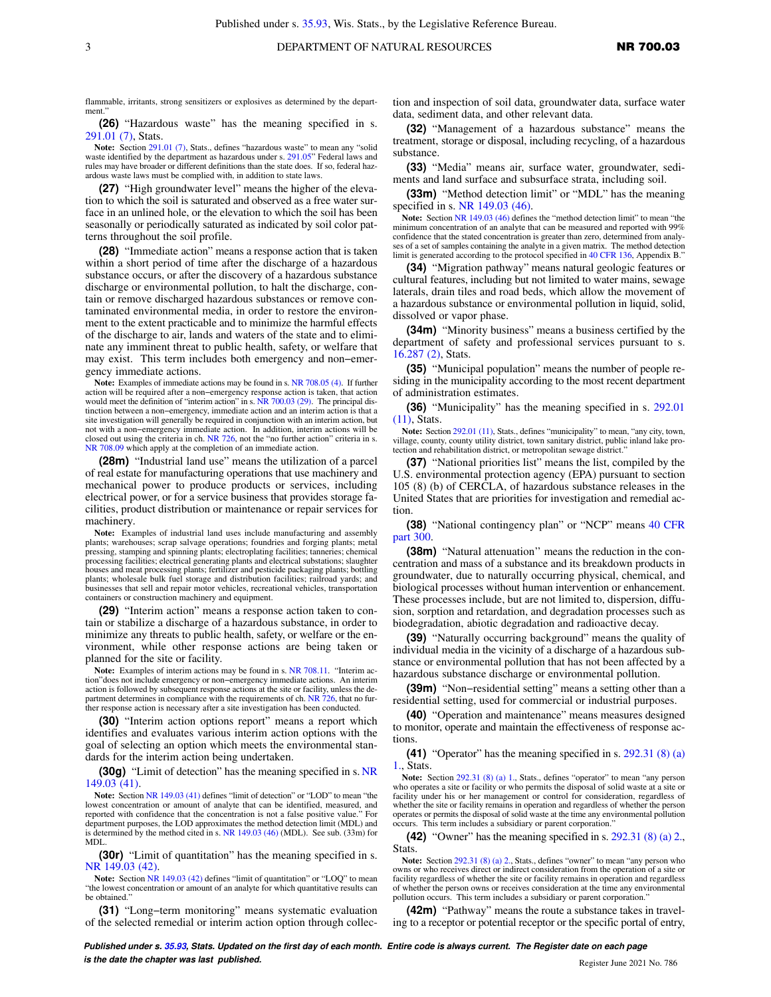flammable, irritants, strong sensitizers or explosives as determined by the department.

**(26)** "Hazardous waste" has the meaning specified in s. [291.01 \(7\),](https://docs.legis.wisconsin.gov/document/statutes/291.01(7)) Stats.

**Note:** Section [291.01 \(7\)](https://docs.legis.wisconsin.gov/document/statutes/291.01(7)), Stats., defines "hazardous waste" to mean any "solid waste identified by the department as hazardous under s. [291.05"](https://docs.legis.wisconsin.gov/document/statutes/291.05) Federal laws and rules may have broader or different definitions than the state does. If so, federal hazardous waste laws must be complied with, in addition to state laws.

**(27)** "High groundwater level" means the higher of the elevation to which the soil is saturated and observed as a free water surface in an unlined hole, or the elevation to which the soil has been seasonally or periodically saturated as indicated by soil color patterns throughout the soil profile.

**(28)** "Immediate action" means a response action that is taken within a short period of time after the discharge of a hazardous substance occurs, or after the discovery of a hazardous substance discharge or environmental pollution, to halt the discharge, contain or remove discharged hazardous substances or remove contaminated environmental media, in order to restore the environment to the extent practicable and to minimize the harmful effects of the discharge to air, lands and waters of the state and to eliminate any imminent threat to public health, safety, or welfare that may exist. This term includes both emergency and non−emergency immediate actions.

**Note:** Examples of immediate actions may be found in s. [NR 708.05 \(4\)](https://docs.legis.wisconsin.gov/document/administrativecode/NR%20708.05(4)). If further action will be required after a non−emergency response action is taken, that action would meet the definition of "interim action" in s. [NR 700.03 \(29\)](https://docs.legis.wisconsin.gov/document/administrativecode/NR%20700.03(29)). The principal distinction between a non−emergency, immediate action and an interim action is that a site investigation will generally be required in conjunction with an interim action, but not with a non−emergency immediate action. In addition, interim actions will be closed out using the criteria in ch. [NR 726,](https://docs.legis.wisconsin.gov/document/administrativecode/ch.%20NR%20726) not the "no further action" criteria in s. [NR 708.09](https://docs.legis.wisconsin.gov/document/administrativecode/NR%20708.09) which apply at the completion of an immediate action.

**(28m)** "Industrial land use" means the utilization of a parcel of real estate for manufacturing operations that use machinery and mechanical power to produce products or services, including electrical power, or for a service business that provides storage facilities, product distribution or maintenance or repair services for machinery.

**Note:** Examples of industrial land uses include manufacturing and assembly plants; warehouses; scrap salvage operations; foundries and forging plants; metal pressing, stamping and spinning plants; electroplating facilities; tanneries; chemical processing facilities; electrical generating plants and electrical substations; slaughter houses and meat processing plants; fertilizer and pesticide packaging plants; bottling plants; wholesale bulk fuel storage and distribution facilities; railroad yards; and businesses that sell and repair motor vehicles, recreational vehicles, transportation containers or construction machinery and equipment.

**(29)** "Interim action" means a response action taken to contain or stabilize a discharge of a hazardous substance, in order to minimize any threats to public health, safety, or welfare or the environment, while other response actions are being taken or planned for the site or facility.

**Note:** Examples of interim actions may be found in s. [NR 708.11](https://docs.legis.wisconsin.gov/document/administrativecode/NR%20708.11). "Interim action"does not include emergency or non−emergency immediate actions. An interim action is followed by subsequent response actions at the site or facility, unless the de-partment determines in compliance with the requirements of ch. [NR 726](https://docs.legis.wisconsin.gov/document/administrativecode/ch.%20NR%20726), that no further response action is necessary after a site investigation has been conducted.

**(30)** "Interim action options report" means a report which identifies and evaluates various interim action options with the goal of selecting an option which meets the environmental standards for the interim action being undertaken.

**(30g)** "Limit of detection" has the meaning specified in s. [NR](https://docs.legis.wisconsin.gov/document/administrativecode/NR%20149.03(41)) [149.03 \(41\)](https://docs.legis.wisconsin.gov/document/administrativecode/NR%20149.03(41)).

**Note:** Section [NR 149.03 \(41\)](https://docs.legis.wisconsin.gov/document/administrativecode/NR%20149.03(41)) defines "limit of detection" or "LOD" to mean "the lowest concentration or amount of analyte that can be identified, measured, and reported with confidence that the concentration is not a false positive value." For department purposes, the LOD approximates the method detection limit (MDL) and is determined by the method cited in s. [NR 149.03 \(46\)](https://docs.legis.wisconsin.gov/document/administrativecode/NR%20149.03(46)) (MDL). See sub. (33m) for MDL.

**(30r)** "Limit of quantitation" has the meaning specified in s. [NR 149.03 \(42\).](https://docs.legis.wisconsin.gov/document/administrativecode/NR%20149.03(42))

Note: Section [NR 149.03 \(42\)](https://docs.legis.wisconsin.gov/document/administrativecode/NR%20149.03(42)) defines "limit of quantitation" or "LOQ" to mean "the lowest concentration or amount of an analyte for which quantitative results can be obtained.

**(31)** "Long−term monitoring" means systematic evaluation of the selected remedial or interim action option through collection and inspection of soil data, groundwater data, surface water data, sediment data, and other relevant data.

**(32)** "Management of a hazardous substance" means the treatment, storage or disposal, including recycling, of a hazardous substance.

**(33)** "Media" means air, surface water, groundwater, sediments and land surface and subsurface strata, including soil.

**(33m)** "Method detection limit" or "MDL" has the meaning specified in s. [NR 149.03 \(46\)](https://docs.legis.wisconsin.gov/document/administrativecode/NR%20149.03(46)).

**Note:** Section [NR 149.03 \(46\)](https://docs.legis.wisconsin.gov/document/administrativecode/NR%20149.03(46)) defines the "method detection limit" to mean "the minimum concentration of an analyte that can be measured and reported with 99% confidence that the stated concentration is greater than zero, determined from analy-ses of a set of samples containing the analyte in a given matrix. The method detection limit is generated according to the protocol specified in [40 CFR 136,](https://docs.legis.wisconsin.gov/document/cfr/40%20CFR%20136) Appendix B."

**(34)** "Migration pathway" means natural geologic features or cultural features, including but not limited to water mains, sewage laterals, drain tiles and road beds, which allow the movement of a hazardous substance or environmental pollution in liquid, solid, dissolved or vapor phase.

**(34m)** "Minority business" means a business certified by the department of safety and professional services pursuant to s. [16.287 \(2\),](https://docs.legis.wisconsin.gov/document/statutes/16.287(2)) Stats.

**(35)** "Municipal population" means the number of people residing in the municipality according to the most recent department of administration estimates.

**(36)** "Municipality" has the meaning specified in s. [292.01](https://docs.legis.wisconsin.gov/document/statutes/292.01(11)) [\(11\),](https://docs.legis.wisconsin.gov/document/statutes/292.01(11)) Stats.

**Note:** Section [292.01 \(11\),](https://docs.legis.wisconsin.gov/document/statutes/292.01(11)) Stats., defines "municipality" to mean, "any city, town, village, county, county utility district, town sanitary district, public inland lake pro-tection and rehabilitation district, or metropolitan sewage district."

**(37)** "National priorities list" means the list, compiled by the U.S. environmental protection agency (EPA) pursuant to section 105 (8) (b) of CERCLA, of hazardous substance releases in the United States that are priorities for investigation and remedial action.

**(38)** "National contingency plan" or "NCP" means [40 CFR](https://docs.legis.wisconsin.gov/document/cfr/40%20CFR%20300) [part 300](https://docs.legis.wisconsin.gov/document/cfr/40%20CFR%20300).

**(38m)** "Natural attenuation'' means the reduction in the concentration and mass of a substance and its breakdown products in groundwater, due to naturally occurring physical, chemical, and biological processes without human intervention or enhancement. These processes include, but are not limited to, dispersion, diffusion, sorption and retardation, and degradation processes such as biodegradation, abiotic degradation and radioactive decay.

**(39)** "Naturally occurring background" means the quality of individual media in the vicinity of a discharge of a hazardous substance or environmental pollution that has not been affected by a hazardous substance discharge or environmental pollution.

**(39m)** "Non−residential setting" means a setting other than a residential setting, used for commercial or industrial purposes.

**(40)** "Operation and maintenance" means measures designed to monitor, operate and maintain the effectiveness of response actions.

**(41)** "Operator" has the meaning specified in s. [292.31 \(8\) \(a\)](https://docs.legis.wisconsin.gov/document/statutes/292.31(8)(a)1.) [1.,](https://docs.legis.wisconsin.gov/document/statutes/292.31(8)(a)1.) Stats.

Note: Section [292.31 \(8\) \(a\) 1.](https://docs.legis.wisconsin.gov/document/statutes/292.31(8)(a)1.), Stats., defines "operator" to mean "any person who operates a site or facility or who permits the disposal of solid waste at a site or facility under his or her management or control for consideration, regardless of whether the site or facility remains in operation and regardless of whether the person operates or permits the disposal of solid waste at the time any environmental pollution occurs. This term includes a subsidiary or parent corporation.

**(42)** "Owner" has the meaning specified in s. [292.31 \(8\) \(a\) 2.,](https://docs.legis.wisconsin.gov/document/statutes/292.31(8)(a)2.) Stats.

**Note:** Section [292.31 \(8\) \(a\) 2.,](https://docs.legis.wisconsin.gov/document/statutes/292.31(8)(a)2.) Stats., defines "owner" to mean "any person who owns or who receives direct or indirect consideration from the operation of a site or facility regardless of whether the site or facility remains in operation and regardless of whether the person owns or receives consideration at the time any environmental pollution occurs. This term includes a subsidiary or parent corporation.

**(42m)** "Pathway" means the route a substance takes in traveling to a receptor or potential receptor or the specific portal of entry,

**Published under s. [35.93,](https://docs.legis.wisconsin.gov/document/statutes/35.93) Stats. Updated on the first day of each month. Entire code is always current. The Register date on each page is the date the chapter was last published. is the date the chapter was last published.** Register June 2021 No. 786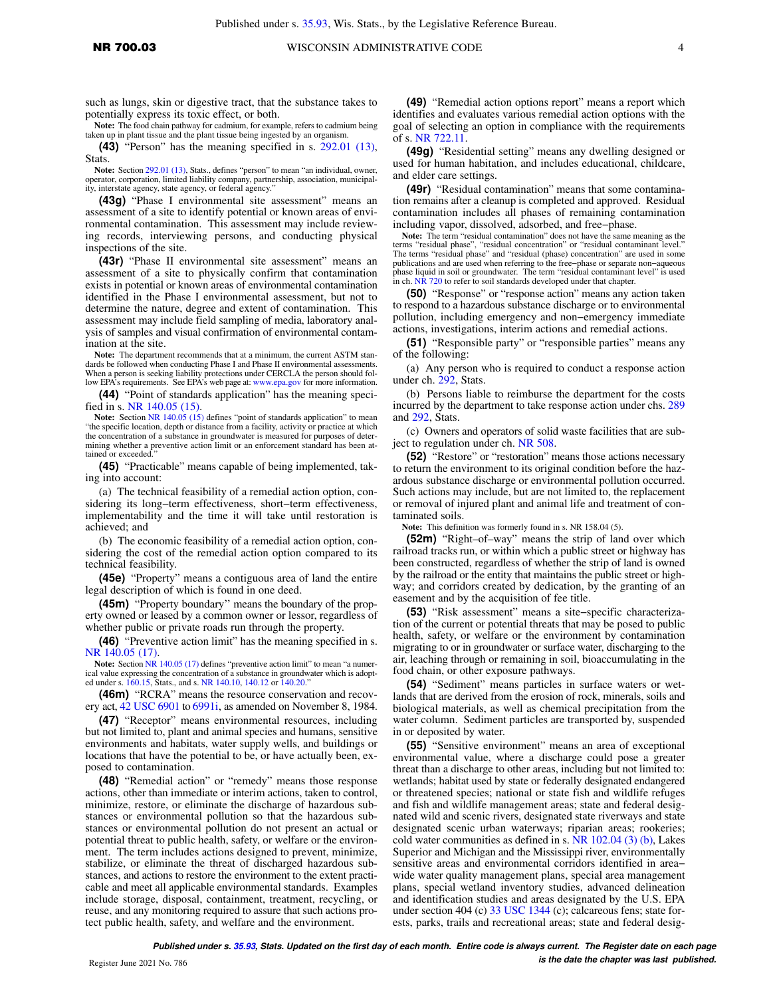**Note:** The food chain pathway for cadmium, for example, refers to cadmium being taken up in plant tissue and the plant tissue being ingested by an organism.

**(43)** "Person" has the meaning specified in s. [292.01 \(13\),](https://docs.legis.wisconsin.gov/document/statutes/292.01(13)) Stats.

**Note:** Section [292.01 \(13\),](https://docs.legis.wisconsin.gov/document/statutes/292.01(13)) Stats., defines "person" to mean "an individual, owner, operator, corporation, limited liability company, partnership, association, municipality, interstate agency, state agency, or federal agency.'

**(43g)** "Phase I environmental site assessment" means an assessment of a site to identify potential or known areas of environmental contamination. This assessment may include reviewing records, interviewing persons, and conducting physical inspections of the site.

**(43r)** "Phase II environmental site assessment" means an assessment of a site to physically confirm that contamination exists in potential or known areas of environmental contamination identified in the Phase I environmental assessment, but not to determine the nature, degree and extent of contamination. This assessment may include field sampling of media, laboratory analysis of samples and visual confirmation of environmental contamination at the site.

**Note:** The department recommends that at a minimum, the current ASTM standards be followed when conducting Phase I and Phase II environmental assessments. When a person is seeking liability protections under CERCLA the person should fol-low EPA's requirements. See EPA's web page at: [www.epa.gov](http://www.epa.gov) for more information.

**(44)** "Point of standards application" has the meaning specified in s. [NR 140.05 \(15\).](https://docs.legis.wisconsin.gov/document/administrativecode/NR%20140.05(15))

Note: Section [NR 140.05 \(15\)](https://docs.legis.wisconsin.gov/document/administrativecode/NR%20140.05(15)) defines "point of standards application" to mean "the specific location, depth or distance from a facility, activity or practice at which the concentration of a substance in groundwater is measured for purposes of determining whether a preventive action limit or an enforcement standard has been attained or exceeded."

**(45)** "Practicable" means capable of being implemented, taking into account:

(a) The technical feasibility of a remedial action option, considering its long−term effectiveness, short−term effectiveness, implementability and the time it will take until restoration is achieved; and

(b) The economic feasibility of a remedial action option, considering the cost of the remedial action option compared to its technical feasibility.

**(45e)** "Property" means a contiguous area of land the entire legal description of which is found in one deed.

**(45m)** "Property boundary'' means the boundary of the property owned or leased by a common owner or lessor, regardless of whether public or private roads run through the property.

**(46)** "Preventive action limit" has the meaning specified in s. [NR 140.05 \(17\).](https://docs.legis.wisconsin.gov/document/administrativecode/NR%20140.05(17))

**Note:** Section [NR 140.05 \(17\)](https://docs.legis.wisconsin.gov/document/administrativecode/NR%20140.05(17)) defines "preventive action limit" to mean "a numerical value expressing the concentration of a substance in groundwater which is adopted under s. [160.15](https://docs.legis.wisconsin.gov/document/statutes/160.15), Stats., and s. [NR 140.10,](https://docs.legis.wisconsin.gov/document/administrativecode/NR%20140.10) [140.12](https://docs.legis.wisconsin.gov/document/administrativecode/NR%20140.12) or [140.20](https://docs.legis.wisconsin.gov/document/administrativecode/NR%20140.20)."

**(46m)** "RCRA" means the resource conservation and recovery act, [42 USC 6901](https://docs.legis.wisconsin.gov/document/usc/42%20USC%206901) to [6991i,](https://docs.legis.wisconsin.gov/document/usc/42%20USC%206991i) as amended on November 8, 1984.

**(47)** "Receptor" means environmental resources, including but not limited to, plant and animal species and humans, sensitive environments and habitats, water supply wells, and buildings or locations that have the potential to be, or have actually been, exposed to contamination.

**(48)** "Remedial action" or "remedy" means those response actions, other than immediate or interim actions, taken to control, minimize, restore, or eliminate the discharge of hazardous substances or environmental pollution so that the hazardous substances or environmental pollution do not present an actual or potential threat to public health, safety, or welfare or the environment. The term includes actions designed to prevent, minimize, stabilize, or eliminate the threat of discharged hazardous substances, and actions to restore the environment to the extent practicable and meet all applicable environmental standards. Examples include storage, disposal, containment, treatment, recycling, or reuse, and any monitoring required to assure that such actions protect public health, safety, and welfare and the environment.

**(49)** "Remedial action options report" means a report which identifies and evaluates various remedial action options with the goal of selecting an option in compliance with the requirements of s. [NR 722.11](https://docs.legis.wisconsin.gov/document/administrativecode/NR%20722.11).

**(49g)** "Residential setting" means any dwelling designed or used for human habitation, and includes educational, childcare, and elder care settings.

**(49r)** "Residual contamination" means that some contamination remains after a cleanup is completed and approved. Residual contamination includes all phases of remaining contamination including vapor, dissolved, adsorbed, and free−phase.

**Note:** The term "residual contamination" does not have the same meaning as the terms "residual phase", "residual concentration" or "residual contaminant level."<br>The terms "residual phase" and "residual (phase) concentration" are used in some<br>publications and are used when referring to the free-phase in ch. [NR 720](https://docs.legis.wisconsin.gov/document/administrativecode/ch.%20NR%20720) to refer to soil standards developed under that chapter.

**(50)** "Response" or "response action" means any action taken to respond to a hazardous substance discharge or to environmental pollution, including emergency and non−emergency immediate actions, investigations, interim actions and remedial actions.

**(51)** "Responsible party" or "responsible parties" means any of the following:

(a) Any person who is required to conduct a response action under ch. [292,](https://docs.legis.wisconsin.gov/document/statutes/ch.%20292) Stats.

(b) Persons liable to reimburse the department for the costs incurred by the department to take response action under chs. [289](https://docs.legis.wisconsin.gov/document/statutes/ch.%20289) and [292](https://docs.legis.wisconsin.gov/document/statutes/ch.%20292), Stats.

(c) Owners and operators of solid waste facilities that are subject to regulation under ch. [NR 508](https://docs.legis.wisconsin.gov/document/administrativecode/ch.%20NR%20508).

**(52)** "Restore" or "restoration" means those actions necessary to return the environment to its original condition before the hazardous substance discharge or environmental pollution occurred. Such actions may include, but are not limited to, the replacement or removal of injured plant and animal life and treatment of contaminated soils.

**Note:** This definition was formerly found in s. NR 158.04 (5).

**(52m)** "Right–of–way" means the strip of land over which railroad tracks run, or within which a public street or highway has been constructed, regardless of whether the strip of land is owned by the railroad or the entity that maintains the public street or highway; and corridors created by dedication, by the granting of an easement and by the acquisition of fee title.

**(53)** "Risk assessment" means a site−specific characterization of the current or potential threats that may be posed to public health, safety, or welfare or the environment by contamination migrating to or in groundwater or surface water, discharging to the air, leaching through or remaining in soil, bioaccumulating in the food chain, or other exposure pathways.

**(54)** "Sediment" means particles in surface waters or wetlands that are derived from the erosion of rock, minerals, soils and biological materials, as well as chemical precipitation from the water column. Sediment particles are transported by, suspended in or deposited by water.

**(55)** "Sensitive environment" means an area of exceptional environmental value, where a discharge could pose a greater threat than a discharge to other areas, including but not limited to: wetlands; habitat used by state or federally designated endangered or threatened species; national or state fish and wildlife refuges and fish and wildlife management areas; state and federal designated wild and scenic rivers, designated state riverways and state designated scenic urban waterways; riparian areas; rookeries; cold water communities as defined in s. NR  $102.04$  (3) (b), Lakes Superior and Michigan and the Mississippi river, environmentally sensitive areas and environmental corridors identified in area− wide water quality management plans, special area management plans, special wetland inventory studies, advanced delineation and identification studies and areas designated by the U.S. EPA under section 404 (c) [33 USC 1344](https://docs.legis.wisconsin.gov/document/usc/33%20USC%201344) (c); calcareous fens; state forests, parks, trails and recreational areas; state and federal desig-

**Published under s. [35.93,](https://docs.legis.wisconsin.gov/document/statutes/35.93) Stats. Updated on the first day of each month. Entire code is always current. The Register date on each page is the date the chapter was last published. is the date the chapter was last published.** *is the date the chapter was last published.*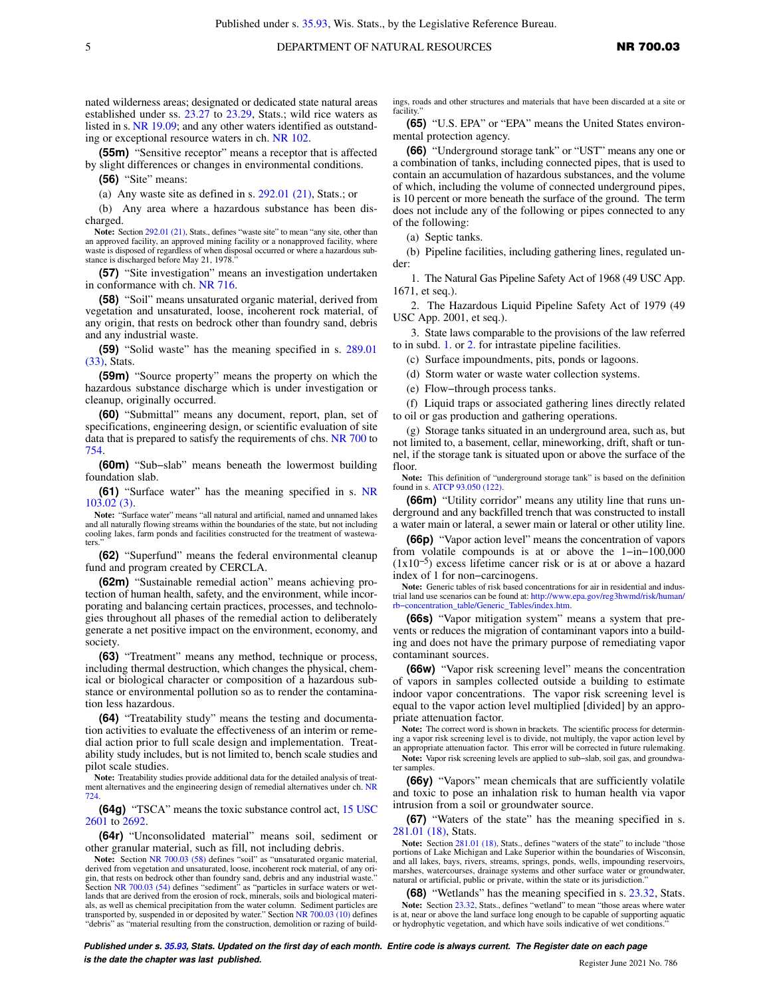nated wilderness areas; designated or dedicated state natural areas established under ss. [23.27](https://docs.legis.wisconsin.gov/document/statutes/23.27) to [23.29](https://docs.legis.wisconsin.gov/document/statutes/23.29), Stats.; wild rice waters as listed in s. [NR 19.09](https://docs.legis.wisconsin.gov/document/administrativecode/NR%2019.09); and any other waters identified as outstanding or exceptional resource waters in ch. [NR 102.](https://docs.legis.wisconsin.gov/document/administrativecode/ch.%20NR%20102)

**(55m)** "Sensitive receptor" means a receptor that is affected by slight differences or changes in environmental conditions.

**(56)** "Site" means:

(a) Any waste site as defined in s. [292.01 \(21\),](https://docs.legis.wisconsin.gov/document/statutes/292.01(21)) Stats.; or

(b) Any area where a hazardous substance has been discharged.

Note: Section [292.01 \(21\)](https://docs.legis.wisconsin.gov/document/statutes/292.01(21)), Stats., defines "waste site" to mean "any site, other than an approved facility, an approved mining facility or a nonapproved facility, where waste is disposed of regardless of when disposal occurred or where a hazardous sub-stance is discharged before May 21, 1978."

**(57)** "Site investigation" means an investigation undertaken in conformance with ch. [NR 716](https://docs.legis.wisconsin.gov/document/administrativecode/ch.%20NR%20716).

**(58)** "Soil" means unsaturated organic material, derived from vegetation and unsaturated, loose, incoherent rock material, of any origin, that rests on bedrock other than foundry sand, debris and any industrial waste.

**(59)** "Solid waste" has the meaning specified in s. [289.01](https://docs.legis.wisconsin.gov/document/statutes/289.01(33)) [\(33\),](https://docs.legis.wisconsin.gov/document/statutes/289.01(33)) Stats.

**(59m)** "Source property" means the property on which the hazardous substance discharge which is under investigation or cleanup, originally occurred.

**(60)** "Submittal" means any document, report, plan, set of specifications, engineering design, or scientific evaluation of site data that is prepared to satisfy the requirements of chs. [NR 700](https://docs.legis.wisconsin.gov/document/administrativecode/ch.%20NR%20700) to [754](https://docs.legis.wisconsin.gov/document/administrativecode/ch.%20NR%20754).

**(60m)** "Sub−slab" means beneath the lowermost building foundation slab.

**(61)** "Surface water" has the meaning specified in s. [NR](https://docs.legis.wisconsin.gov/document/administrativecode/NR%20103.02(3)) [103.02 \(3\).](https://docs.legis.wisconsin.gov/document/administrativecode/NR%20103.02(3))

**Note:** "Surface water" means "all natural and artificial, named and unnamed lakes and all naturally flowing streams within the boundaries of the state, but not including cooling lakes, farm ponds and facilities constructed for the treatment of wastewaters.

**(62)** "Superfund" means the federal environmental cleanup fund and program created by CERCLA.

**(62m)** "Sustainable remedial action" means achieving protection of human health, safety, and the environment, while incorporating and balancing certain practices, processes, and technologies throughout all phases of the remedial action to deliberately generate a net positive impact on the environment, economy, and society.

**(63)** "Treatment" means any method, technique or process, including thermal destruction, which changes the physical, chemical or biological character or composition of a hazardous substance or environmental pollution so as to render the contamination less hazardous.

**(64)** "Treatability study" means the testing and documentation activities to evaluate the effectiveness of an interim or remedial action prior to full scale design and implementation. Treatability study includes, but is not limited to, bench scale studies and pilot scale studies.

**Note:** Treatability studies provide additional data for the detailed analysis of treatment alternatives and the engineering design of remedial alternatives under ch. [NR](https://docs.legis.wisconsin.gov/document/administrativecode/ch.%20NR%20724) [724](https://docs.legis.wisconsin.gov/document/administrativecode/ch.%20NR%20724).

**(64g)** "TSCA" means the toxic substance control act, [15 USC](https://docs.legis.wisconsin.gov/document/usc/15%20USC%202601) [2601](https://docs.legis.wisconsin.gov/document/usc/15%20USC%202601) to [2692.](https://docs.legis.wisconsin.gov/document/usc/15%20USC%202692)

**(64r)** "Unconsolidated material" means soil, sediment or other granular material, such as fill, not including debris.

**Note:** Section [NR 700.03 \(58\)](https://docs.legis.wisconsin.gov/document/administrativecode/NR%20700.03(58)) defines "soil" as "unsaturated organic material, derived from vegetation and unsaturated, loose, incoherent rock material, of any origin, that rests on bedrock other than foundry sand, debris and any industrial waste." Section [NR 700.03 \(54\)](https://docs.legis.wisconsin.gov/document/administrativecode/NR%20700.03(54)) defines "sediment" as "particles in surface waters or wetlands that are derived from the erosion of rock, minerals, soils and biological materi-als, as well as chemical precipitation from the water column. Sediment particles are<br>transported by, suspended in or deposited by water." Section [NR 700.03 \(10\)](https://docs.legis.wisconsin.gov/document/administrativecode/NR%20700.03(10)) defines "debris" as "material resulting from the construction, demolition or razing of buildings, roads and other structures and materials that have been discarded at a site or facility."

**(65)** "U.S. EPA" or "EPA" means the United States environmental protection agency.

**(66)** "Underground storage tank" or "UST" means any one or a combination of tanks, including connected pipes, that is used to contain an accumulation of hazardous substances, and the volume of which, including the volume of connected underground pipes, is 10 percent or more beneath the surface of the ground. The term does not include any of the following or pipes connected to any of the following:

(a) Septic tanks.

(b) Pipeline facilities, including gathering lines, regulated under:

1. The Natural Gas Pipeline Safety Act of 1968 (49 USC App. 1671, et seq.).

2. The Hazardous Liquid Pipeline Safety Act of 1979 (49 USC App. 2001, et seq.).

3. State laws comparable to the provisions of the law referred to in subd. [1.](https://docs.legis.wisconsin.gov/document/administrativecode/NR%20700.03(66)(b)1.) or [2.](https://docs.legis.wisconsin.gov/document/administrativecode/NR%20700.03(66)(b)2.) for intrastate pipeline facilities.

(c) Surface impoundments, pits, ponds or lagoons.

(d) Storm water or waste water collection systems.

(e) Flow−through process tanks.

(f) Liquid traps or associated gathering lines directly related to oil or gas production and gathering operations.

(g) Storage tanks situated in an underground area, such as, but not limited to, a basement, cellar, mineworking, drift, shaft or tunnel, if the storage tank is situated upon or above the surface of the floor.

**Note:** This definition of "underground storage tank" is based on the definition found in s. [ATCP 93.050 \(122\).](https://docs.legis.wisconsin.gov/document/administrativecode/ATCP%2093.050(122))

**(66m)** "Utility corridor" means any utility line that runs underground and any backfilled trench that was constructed to install a water main or lateral, a sewer main or lateral or other utility line.

**(66p)** "Vapor action level" means the concentration of vapors from volatile compounds is at or above the 1−in−100,000 (1x10−5 ) excess lifetime cancer risk or is at or above a hazard index of 1 for non−carcinogens.

**Note:** Generic tables of risk based concentrations for air in residential and industrial land use scenarios can be found at: [http://www.epa.gov/reg3hwmd/risk/human/](http://www.epa.gov/reg3hwmd/risk/human/rb-concentration_table/Generic_Tables/index.htm) [rb−concentration\\_table/Generic\\_Tables/index.htm.](http://www.epa.gov/reg3hwmd/risk/human/rb-concentration_table/Generic_Tables/index.htm)

**(66s)** "Vapor mitigation system" means a system that prevents or reduces the migration of contaminant vapors into a building and does not have the primary purpose of remediating vapor contaminant sources.

**(66w)** "Vapor risk screening level" means the concentration of vapors in samples collected outside a building to estimate indoor vapor concentrations. The vapor risk screening level is equal to the vapor action level multiplied [divided] by an appropriate attenuation factor.

**Note:** The correct word is shown in brackets. The scientific process for determining a vapor risk screening level is to divide, not multiply, the vapor action level by an appropriate attenuation factor. This error will be corrected in future rulemaking.

**Note:** Vapor risk screening levels are applied to sub−slab, soil gas, and groundwater samples.

**(66y)** "Vapors" mean chemicals that are sufficiently volatile and toxic to pose an inhalation risk to human health via vapor intrusion from a soil or groundwater source.

**(67)** "Waters of the state" has the meaning specified in s. [281.01 \(18\)](https://docs.legis.wisconsin.gov/document/statutes/281.01(18)), Stats.

**Note:** Section [281.01 \(18\)](https://docs.legis.wisconsin.gov/document/statutes/281.01(18)), Stats., defines "waters of the state" to include "those portions of Lake Michigan and Lake Superior within the boundaries of Wisconsin, and all lakes, bays, rivers, streams, springs, ponds, wells, impounding reservoirs, marshes, watercourses, drainage systems and other surface water or groundwater, natural or artificial, public or private, within the state or its jurisdiction."

**(68)** "Wetlands" has the meaning specified in s. [23.32](https://docs.legis.wisconsin.gov/document/statutes/23.32), Stats. **Note:** Section [23.32](https://docs.legis.wisconsin.gov/document/statutes/23.32), Stats., defines "wetland" to mean "those areas where water is at, near or above the land surface long enough to be capable of supporting aquatic or hydrophytic vegetation, and which have soils indicative of wet conditions."

**Published under s. [35.93,](https://docs.legis.wisconsin.gov/document/statutes/35.93) Stats. Updated on the first day of each month. Entire code is always current. The Register date on each page is the date the chapter was last published. is the date the chapter was last published.** Register June 2021 No. 786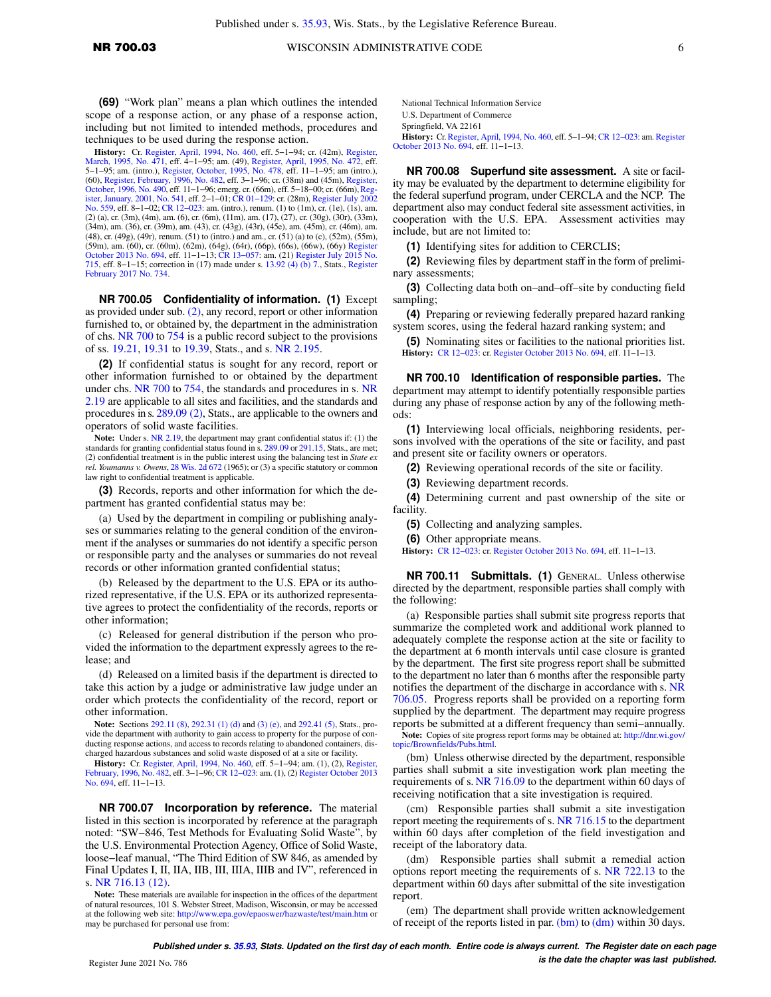**(69)** "Work plan" means a plan which outlines the intended scope of a response action, or any phase of a response action, including but not limited to intended methods, procedures and techniques to be used during the response action.

**History:** Cr. [Register, April, 1994, No. 460](https://docs.legis.wisconsin.gov/document/register/460/B/toc), eff. 5−1−94; cr. (42m), [Register,](https://docs.legis.wisconsin.gov/document/register/471/B/toc) [March, 1995, No. 471](https://docs.legis.wisconsin.gov/document/register/471/B/toc), eff. 4−1−95; am. (49), [Register, April, 1995, No. 472,](https://docs.legis.wisconsin.gov/document/register/472/B/toc) eff. 5−1−95; am. (intro.), [Register, October, 1995, No. 478,](https://docs.legis.wisconsin.gov/document/register/478/B/toc) eff. 11−1−95; am (intro.), (60), [Register, February, 1996, No. 482](https://docs.legis.wisconsin.gov/document/register/482/B/toc), eff. 3−1−96; cr. (38m) and (45m), [Register,](https://docs.legis.wisconsin.gov/document/register/490/B/toc) [October, 1996, No. 490,](https://docs.legis.wisconsin.gov/document/register/490/B/toc) eff. 11−1−96; emerg. cr. (66m), eff. 5–18–00; cr. (66m), [Reg](https://docs.legis.wisconsin.gov/document/register/541/B/toc)[ister, January, 2001, No. 541](https://docs.legis.wisconsin.gov/document/register/541/B/toc), eff. 2−1−01; [CR 01−129:](https://docs.legis.wisconsin.gov/document/cr/2001/129) cr. (28m), [Register July 2002](https://docs.legis.wisconsin.gov/document/register/559/B/toc) [No. 559](https://docs.legis.wisconsin.gov/document/register/559/B/toc), eff. 8−1−02; [CR 12−023](https://docs.legis.wisconsin.gov/document/cr/2012/23): am. (intro.), renum. (1) to (1m), cr. (1e), (1s), am. (2) (a), cr. (3m), (4m), am. (6), cr. (6m), (11m), am. (17), (27), cr. (30g), (30r), (33m), (34m), am. (36), cr. (39m), am. (43), cr. (43g), (43r), (45e), am. (45m), cr. (46m), am. (48), cr. (49g), (49r), renum. (51) to (intro.) and am., cr. (51) (a) to (c), (52m), (55m), (59m), am. (60), cr. (60m), (62m), (64g), (64r), (66p), (66s), (66w), (66y) [Register](https://docs.legis.wisconsin.gov/document/register/694/B/toc) [October 2013 No. 694,](https://docs.legis.wisconsin.gov/document/register/694/B/toc) eff. 11−1−13; [CR 13−057:](https://docs.legis.wisconsin.gov/document/cr/2013/57) am. (21) [Register July 2015 No.](https://docs.legis.wisconsin.gov/document/register/715/B/toc) [715](https://docs.legis.wisconsin.gov/document/register/715/B/toc), eff. 8−1−15; correction in (17) made under s. [13.92 \(4\) \(b\) 7.,](https://docs.legis.wisconsin.gov/document/statutes/13.92(4)(b)7.) Stats., [Register](https://docs.legis.wisconsin.gov/document/register/734/B/toc) [February 2017 No. 734](https://docs.legis.wisconsin.gov/document/register/734/B/toc).

**NR 700.05 Confidentiality of information. (1)** Except as provided under sub. [\(2\),](https://docs.legis.wisconsin.gov/document/administrativecode/NR%20700.05(2)) any record, report or other information furnished to, or obtained by, the department in the administration of chs. [NR 700](https://docs.legis.wisconsin.gov/document/administrativecode/ch.%20NR%20700) to [754](https://docs.legis.wisconsin.gov/document/administrativecode/ch.%20NR%20754) is a public record subject to the provisions of ss. [19.21,](https://docs.legis.wisconsin.gov/document/statutes/19.21) [19.31](https://docs.legis.wisconsin.gov/document/statutes/19.31) to [19.39](https://docs.legis.wisconsin.gov/document/statutes/19.39), Stats., and s. [NR 2.195.](https://docs.legis.wisconsin.gov/document/administrativecode/NR%202.195)

**(2)** If confidential status is sought for any record, report or other information furnished to or obtained by the department under chs. [NR 700](https://docs.legis.wisconsin.gov/document/administrativecode/ch.%20NR%20700) to [754,](https://docs.legis.wisconsin.gov/document/administrativecode/ch.%20NR%20754) the standards and procedures in s. [NR](https://docs.legis.wisconsin.gov/document/administrativecode/NR%202.19) [2.19](https://docs.legis.wisconsin.gov/document/administrativecode/NR%202.19) are applicable to all sites and facilities, and the standards and procedures in s. [289.09 \(2\)](https://docs.legis.wisconsin.gov/document/statutes/289.09(2)), Stats., are applicable to the owners and operators of solid waste facilities.

**Note:** Under s. [NR 2.19,](https://docs.legis.wisconsin.gov/document/administrativecode/NR%202.19) the department may grant confidential status if: (1) the standards for granting confidential status found in s. [289.09](https://docs.legis.wisconsin.gov/document/statutes/289.09) or [291.15,](https://docs.legis.wisconsin.gov/document/statutes/291.15) Stats., are met; (2) confidential treatment is in the public interest using the balancing test in *State ex rel. Youmanns v. Owens*, [28 Wis. 2d 672](https://docs.legis.wisconsin.gov/document/courts/28%20Wis.%202d%20672) (1965); or (3) a specific statutory or common law right to confidential treatment is applicable.

**(3)** Records, reports and other information for which the department has granted confidential status may be:

(a) Used by the department in compiling or publishing analyses or summaries relating to the general condition of the environment if the analyses or summaries do not identify a specific person or responsible party and the analyses or summaries do not reveal records or other information granted confidential status;

(b) Released by the department to the U.S. EPA or its authorized representative, if the U.S. EPA or its authorized representative agrees to protect the confidentiality of the records, reports or other information;

(c) Released for general distribution if the person who provided the information to the department expressly agrees to the release; and

(d) Released on a limited basis if the department is directed to take this action by a judge or administrative law judge under an order which protects the confidentiality of the record, report or other information.

**Note:** Sections [292.11 \(8\),](https://docs.legis.wisconsin.gov/document/statutes/292.11(8)) [292.31 \(1\) \(d\)](https://docs.legis.wisconsin.gov/document/statutes/292.31(1)(d)) and [\(3\) \(e\),](https://docs.legis.wisconsin.gov/document/statutes/292.31(3)(e)) and [292.41 \(5\)](https://docs.legis.wisconsin.gov/document/statutes/292.41(5)), Stats., provide the department with authority to gain access to property for the purpose of conducting response actions, and access to records relating to abandoned containers, discharged hazardous substances and solid waste disposed of at a site or facility.

**History:** Cr. [Register, April, 1994, No. 460](https://docs.legis.wisconsin.gov/document/register/460/B/toc), eff. 5−1−94; am. (1), (2), [Register,](https://docs.legis.wisconsin.gov/document/register/482/B/toc) [February, 1996, No. 482](https://docs.legis.wisconsin.gov/document/register/482/B/toc), eff. 3−1−96; [CR 12−023](https://docs.legis.wisconsin.gov/document/cr/2012/23): am. (1), (2) [Register October 2013](https://docs.legis.wisconsin.gov/document/register/694/B/toc) [No. 694](https://docs.legis.wisconsin.gov/document/register/694/B/toc), eff. 11−1−13.

**NR 700.07 Incorporation by reference.** The material listed in this section is incorporated by reference at the paragraph noted: "SW−846, Test Methods for Evaluating Solid Waste", by the U.S. Environmental Protection Agency, Office of Solid Waste, loose−leaf manual, "The Third Edition of SW 846, as amended by Final Updates I, II, IIA, IIB, III, IIIA, IIIB and IV", referenced in s. [NR 716.13 \(12\).](https://docs.legis.wisconsin.gov/document/administrativecode/NR%20716.13(12))

**Note:** These materials are available for inspection in the offices of the department of natural resources, 101 S. Webster Street, Madison, Wisconsin, or may be accessed at the following web site: <http://www.epa.gov/epaoswer/hazwaste/test/main.htm> or may be purchased for personal use from:

National Technical Information Service U.S. Department of Commerce

Springfield, VA 22161

**History:** Cr.[Register, April, 1994, No. 460,](https://docs.legis.wisconsin.gov/document/register/460/B/toc) eff. 5−1−94; [CR 12−023:](https://docs.legis.wisconsin.gov/document/cr/2012/23) am. [Register](https://docs.legis.wisconsin.gov/document/register/694/B/toc) [October 2013 No. 694,](https://docs.legis.wisconsin.gov/document/register/694/B/toc) eff. 11−1−13.

**NR 700.08 Superfund site assessment.** A site or facility may be evaluated by the department to determine eligibility for the federal superfund program, under CERCLA and the NCP. The department also may conduct federal site assessment activities, in cooperation with the U.S. EPA. Assessment activities may include, but are not limited to:

**(1)** Identifying sites for addition to CERCLIS;

**(2)** Reviewing files by department staff in the form of preliminary assessments;

**(3)** Collecting data both on–and–off–site by conducting field sampling;

**(4)** Preparing or reviewing federally prepared hazard ranking system scores, using the federal hazard ranking system; and

**(5)** Nominating sites or facilities to the national priorities list. **History:** [CR 12−023:](https://docs.legis.wisconsin.gov/document/cr/2012/23) cr. [Register October 2013 No. 694,](https://docs.legis.wisconsin.gov/document/register/694/B/toc) eff. 11−1−13.

**NR 700.10 Identification of responsible parties.** The department may attempt to identify potentially responsible parties during any phase of response action by any of the following methods:

**(1)** Interviewing local officials, neighboring residents, persons involved with the operations of the site or facility, and past and present site or facility owners or operators.

**(2)** Reviewing operational records of the site or facility.

**(3)** Reviewing department records.

**(4)** Determining current and past ownership of the site or facility.

**(5)** Collecting and analyzing samples.

**(6)** Other appropriate means.

**History:** [CR 12−023:](https://docs.legis.wisconsin.gov/document/cr/2012/23) cr. [Register October 2013 No. 694,](https://docs.legis.wisconsin.gov/document/register/694/B/toc) eff. 11−1−13.

**NR 700.11 Submittals. (1)** GENERAL. Unless otherwise directed by the department, responsible parties shall comply with the following:

(a) Responsible parties shall submit site progress reports that summarize the completed work and additional work planned to adequately complete the response action at the site or facility to the department at 6 month intervals until case closure is granted by the department. The first site progress report shall be submitted to the department no later than 6 months after the responsible party notifies the department of the discharge in accordance with s. [NR](https://docs.legis.wisconsin.gov/document/administrativecode/NR%20706.05) [706.05](https://docs.legis.wisconsin.gov/document/administrativecode/NR%20706.05). Progress reports shall be provided on a reporting form supplied by the department. The department may require progress reports be submitted at a different frequency than semi−annually.

**Note:** Copies of site progress report forms may be obtained at: [http://dnr.wi.gov/](http://dnr.wi.gov/topic/Brownfields/Pubs.html) [topic/Brownfields/Pubs.html.](http://dnr.wi.gov/topic/Brownfields/Pubs.html)

(bm) Unless otherwise directed by the department, responsible parties shall submit a site investigation work plan meeting the requirements of s. [NR 716.09](https://docs.legis.wisconsin.gov/document/administrativecode/NR%20716.09) to the department within 60 days of receiving notification that a site investigation is required.

(cm) Responsible parties shall submit a site investigation report meeting the requirements of s. [NR 716.15](https://docs.legis.wisconsin.gov/document/administrativecode/NR%20716.15) to the department within 60 days after completion of the field investigation and receipt of the laboratory data.

(dm) Responsible parties shall submit a remedial action options report meeting the requirements of s. [NR 722.13](https://docs.legis.wisconsin.gov/document/administrativecode/NR%20722.13) to the department within 60 days after submittal of the site investigation report.

(em) The department shall provide written acknowledgement of receipt of the reports listed in par.  $(bm)$  to  $(dm)$  within 30 days.

**Published under s. [35.93,](https://docs.legis.wisconsin.gov/document/statutes/35.93) Stats. Updated on the first day of each month. Entire code is always current. The Register date on each page is the date the chapter was last published. is the date the chapter was last published.**